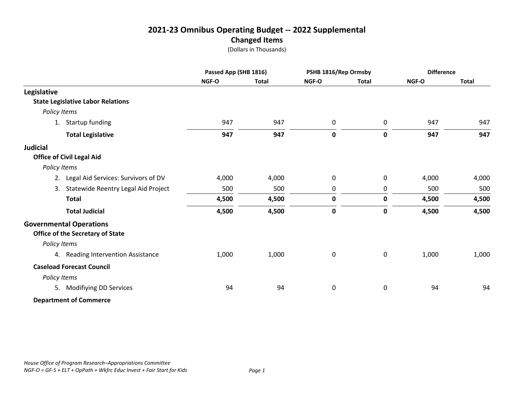(Dollars in Thousands)

|                                          |       | Passed App (SHB 1816) |              | PSHB 1816/Rep Ormsby |       | <b>Difference</b> |  |
|------------------------------------------|-------|-----------------------|--------------|----------------------|-------|-------------------|--|
|                                          | NGF-O | <b>Total</b>          | NGF-O        | <b>Total</b>         | NGF-O | <b>Total</b>      |  |
| Legislative                              |       |                       |              |                      |       |                   |  |
| <b>State Legislative Labor Relations</b> |       |                       |              |                      |       |                   |  |
| Policy Items                             |       |                       |              |                      |       |                   |  |
| 1. Startup funding                       | 947   | 947                   | 0            | 0                    | 947   | 947               |  |
| <b>Total Legislative</b>                 | 947   | 947                   | 0            | $\mathbf 0$          | 947   | 947               |  |
| <b>Judicial</b>                          |       |                       |              |                      |       |                   |  |
| <b>Office of Civil Legal Aid</b>         |       |                       |              |                      |       |                   |  |
| Policy Items                             |       |                       |              |                      |       |                   |  |
| 2. Legal Aid Services: Survivors of DV   | 4,000 | 4,000                 | $\mathbf{0}$ | 0                    | 4,000 | 4,000             |  |
| 3. Statewide Reentry Legal Aid Project   | 500   | 500                   | 0            | 0                    | 500   | 500               |  |
| <b>Total</b>                             | 4,500 | 4,500                 | 0            | $\mathbf 0$          | 4,500 | 4,500             |  |
| <b>Total Judicial</b>                    | 4,500 | 4,500                 | $\pmb{0}$    | $\mathbf 0$          | 4,500 | 4,500             |  |
| <b>Governmental Operations</b>           |       |                       |              |                      |       |                   |  |
| Office of the Secretary of State         |       |                       |              |                      |       |                   |  |
| Policy Items                             |       |                       |              |                      |       |                   |  |
| 4. Reading Intervention Assistance       | 1,000 | 1,000                 | 0            | 0                    | 1,000 | 1,000             |  |
| <b>Caseload Forecast Council</b>         |       |                       |              |                      |       |                   |  |
| Policy Items                             |       |                       |              |                      |       |                   |  |
| 5. Modifiying DD Services                | 94    | 94                    | $\mathbf 0$  | 0                    | 94    | 94                |  |
| <b>Department of Commerce</b>            |       |                       |              |                      |       |                   |  |

*House Office of Program Research–Appropriations Committee NGF-O = GF-S + ELT + OpPath + Wkfrc Educ Invest + Fair Start for Kids Page 1*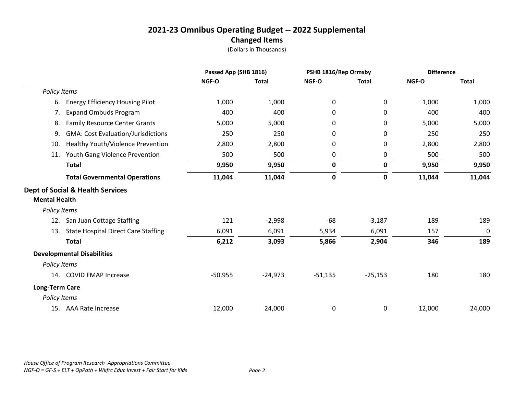|                       |                                             | Passed App (SHB 1816) |              | PSHB 1816/Rep Ormsby |              | <b>Difference</b> |              |
|-----------------------|---------------------------------------------|-----------------------|--------------|----------------------|--------------|-------------------|--------------|
|                       |                                             | NGF-O                 | <b>Total</b> | NGF-O                | <b>Total</b> | NGF-O             | <b>Total</b> |
| Policy Items          |                                             |                       |              |                      |              |                   |              |
| 6.                    | <b>Energy Efficiency Housing Pilot</b>      | 1,000                 | 1,000        | 0                    | 0            | 1,000             | 1,000        |
| 7.                    | <b>Expand Ombuds Program</b>                | 400                   | 400          | 0                    | 0            | 400               | 400          |
| 8.                    | <b>Family Resource Center Grants</b>        | 5,000                 | 5,000        | 0                    | 0            | 5,000             | 5,000        |
| 9.                    | <b>GMA: Cost Evaluation/Jurisdictions</b>   | 250                   | 250          | 0                    | 0            | 250               | 250          |
| 10.                   | Healthy Youth/Violence Prevention           | 2,800                 | 2,800        | 0                    | 0            | 2,800             | 2,800        |
| 11.                   | Youth Gang Violence Prevention              | 500                   | 500          | 0                    | 0            | 500               | 500          |
|                       | <b>Total</b>                                | 9,950                 | 9,950        | $\mathbf 0$          | 0            | 9,950             | 9,950        |
|                       | <b>Total Governmental Operations</b>        | 11,044                | 11,044       | $\pmb{0}$            | 0            | 11,044            | 11,044       |
| <b>Mental Health</b>  | <b>Dept of Social &amp; Health Services</b> |                       |              |                      |              |                   |              |
| Policy Items          |                                             |                       |              |                      |              |                   |              |
| 12.                   | San Juan Cottage Staffing                   | 121                   | $-2,998$     | $-68$                | $-3,187$     | 189               | 189          |
| 13.                   | <b>State Hospital Direct Care Staffing</b>  | 6,091                 | 6,091        | 5,934                | 6,091        | 157               | 0            |
|                       | <b>Total</b>                                | 6,212                 | 3,093        | 5,866                | 2,904        | 346               | 189          |
|                       | <b>Developmental Disabilities</b>           |                       |              |                      |              |                   |              |
| Policy Items          |                                             |                       |              |                      |              |                   |              |
|                       | 14. COVID FMAP Increase                     | $-50,955$             | $-24,973$    | $-51,135$            | $-25,153$    | 180               | 180          |
| <b>Long-Term Care</b> |                                             |                       |              |                      |              |                   |              |
| Policy Items          |                                             |                       |              |                      |              |                   |              |
|                       | 15. AAA Rate Increase                       | 12,000                | 24,000       | 0                    | 0            | 12,000            | 24,000       |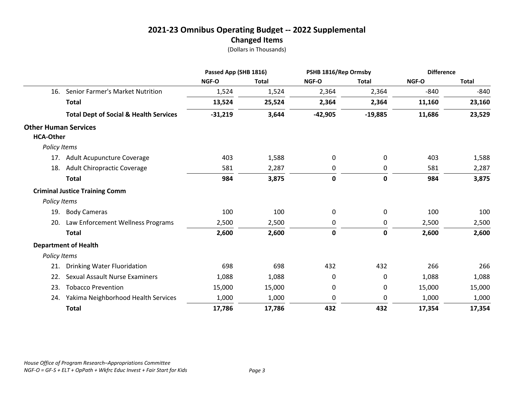|                                                 |                                                   | Passed App (SHB 1816) |              | PSHB 1816/Rep Ormsby |              | <b>Difference</b> |              |
|-------------------------------------------------|---------------------------------------------------|-----------------------|--------------|----------------------|--------------|-------------------|--------------|
|                                                 |                                                   | NGF-O                 | <b>Total</b> | NGF-O                | <b>Total</b> | NGF-O             | <b>Total</b> |
| 16.                                             | Senior Farmer's Market Nutrition                  | 1,524                 | 1,524        | 2,364                | 2,364        | $-840$            | $-840$       |
|                                                 | <b>Total</b>                                      | 13,524                | 25,524       | 2,364                | 2,364        | 11,160            | 23,160       |
|                                                 | <b>Total Dept of Social &amp; Health Services</b> | $-31,219$             | 3,644        | $-42,905$            | $-19,885$    | 11,686            | 23,529       |
| <b>Other Human Services</b><br><b>HCA-Other</b> |                                                   |                       |              |                      |              |                   |              |
| Policy Items                                    |                                                   |                       |              |                      |              |                   |              |
|                                                 | 17. Adult Acupuncture Coverage                    | 403                   | 1,588        | 0                    | 0            | 403               | 1,588        |
| 18.                                             | Adult Chiropractic Coverage                       | 581                   | 2,287        | 0                    | 0            | 581               | 2,287        |
|                                                 | <b>Total</b>                                      | 984                   | 3,875        | 0                    | 0            | 984               | 3,875        |
|                                                 | <b>Criminal Justice Training Comm</b>             |                       |              |                      |              |                   |              |
| Policy Items                                    |                                                   |                       |              |                      |              |                   |              |
| 19.                                             | <b>Body Cameras</b>                               | 100                   | 100          | 0                    | 0            | 100               | 100          |
| 20.                                             | Law Enforcement Wellness Programs                 | 2,500                 | 2,500        | 0                    | 0            | 2,500             | 2,500        |
|                                                 | <b>Total</b>                                      | 2,600                 | 2,600        | 0                    | 0            | 2,600             | 2,600        |
|                                                 | <b>Department of Health</b>                       |                       |              |                      |              |                   |              |
| Policy Items                                    |                                                   |                       |              |                      |              |                   |              |
| 21.                                             | <b>Drinking Water Fluoridation</b>                | 698                   | 698          | 432                  | 432          | 266               | 266          |
| 22.                                             | Sexual Assault Nurse Examiners                    | 1,088                 | 1,088        | 0                    | 0            | 1,088             | 1,088        |
| 23.                                             | <b>Tobacco Prevention</b>                         | 15,000                | 15,000       | 0                    | 0            | 15,000            | 15,000       |
| 24.                                             | Yakima Neighborhood Health Services               | 1,000                 | 1,000        | 0                    | 0            | 1,000             | 1,000        |
|                                                 | <b>Total</b>                                      | 17,786                | 17,786       | 432                  | 432          | 17,354            | 17,354       |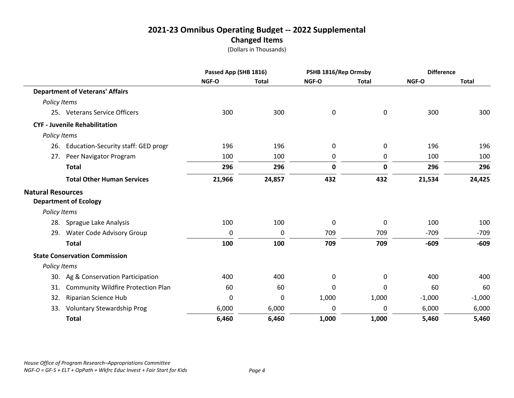|                          |                                         | Passed App (SHB 1816) |              | PSHB 1816/Rep Ormsby |              | <b>Difference</b> |              |
|--------------------------|-----------------------------------------|-----------------------|--------------|----------------------|--------------|-------------------|--------------|
|                          |                                         | NGF-O                 | <b>Total</b> | NGF-O                | <b>Total</b> | <b>NGF-O</b>      | <b>Total</b> |
|                          | <b>Department of Veterans' Affairs</b>  |                       |              |                      |              |                   |              |
| Policy Items             |                                         |                       |              |                      |              |                   |              |
|                          | 25. Veterans Service Officers           | 300                   | 300          | $\mathbf 0$          | 0            | 300               | 300          |
|                          | <b>CYF - Juvenile Rehabilitation</b>    |                       |              |                      |              |                   |              |
| Policy Items             |                                         |                       |              |                      |              |                   |              |
|                          | 26. Education-Security staff: GED progr | 196                   | 196          | 0                    | 0            | 196               | 196          |
| 27.                      | Peer Navigator Program                  | 100                   | 100          | 0                    | 0            | 100               | 100          |
|                          | <b>Total</b>                            | 296                   | 296          | 0                    | 0            | 296               | 296          |
|                          | <b>Total Other Human Services</b>       | 21,966                | 24,857       | 432                  | 432          | 21,534            | 24,425       |
| <b>Natural Resources</b> | <b>Department of Ecology</b>            |                       |              |                      |              |                   |              |
| Policy Items             |                                         |                       |              |                      |              |                   |              |
|                          | 28. Sprague Lake Analysis               | 100                   | 100          | 0                    | 0            | 100               | 100          |
| 29.                      | <b>Water Code Advisory Group</b>        | 0                     | 0            | 709                  | 709          | $-709$            | $-709$       |
|                          | <b>Total</b>                            | 100                   | 100          | 709                  | 709          | $-609$            | $-609$       |
|                          | <b>State Conservation Commission</b>    |                       |              |                      |              |                   |              |
| Policy Items             |                                         |                       |              |                      |              |                   |              |
|                          | 30. Ag & Conservation Participation     | 400                   | 400          | 0                    | 0            | 400               | 400          |
| 31.                      | Community Wildfire Protection Plan      | 60                    | 60           | 0                    | 0            | 60                | 60           |
| 32.                      | Riparian Science Hub                    | 0                     | 0            | 1,000                | 1,000        | $-1,000$          | $-1,000$     |
| 33.                      | <b>Voluntary Stewardship Prog</b>       | 6,000                 | 6,000        | 0                    | 0            | 6,000             | 6,000        |
|                          | <b>Total</b>                            | 6,460                 | 6,460        | 1,000                | 1,000        | 5,460             | 5,460        |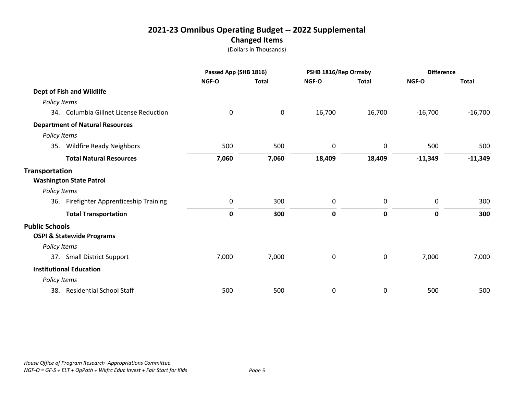|                                                               | Passed App (SHB 1816) |              | PSHB 1816/Rep Ormsby |              | <b>Difference</b> |              |
|---------------------------------------------------------------|-----------------------|--------------|----------------------|--------------|-------------------|--------------|
|                                                               | NGF-O                 | <b>Total</b> | NGF-O                | <b>Total</b> | NGF-O             | <b>Total</b> |
| Dept of Fish and Wildlife                                     |                       |              |                      |              |                   |              |
| Policy Items                                                  |                       |              |                      |              |                   |              |
| 34. Columbia Gillnet License Reduction                        | 0                     | $\mathbf 0$  | 16,700               | 16,700       | $-16,700$         | $-16,700$    |
| <b>Department of Natural Resources</b>                        |                       |              |                      |              |                   |              |
| Policy Items                                                  |                       |              |                      |              |                   |              |
| <b>Wildfire Ready Neighbors</b><br>35.                        | 500                   | 500          | 0                    | 0            | 500               | 500          |
| <b>Total Natural Resources</b>                                | 7,060                 | 7,060        | 18,409               | 18,409       | $-11,349$         | $-11,349$    |
| <b>Transportation</b><br><b>Washington State Patrol</b>       |                       |              |                      |              |                   |              |
| Policy Items                                                  |                       |              |                      |              |                   |              |
| Firefighter Apprenticeship Training<br>36.                    | 0                     | 300          | 0                    | 0            | 0                 | 300          |
| <b>Total Transportation</b>                                   | 0                     | 300          | $\mathbf 0$          | $\mathbf 0$  | 0                 | 300          |
| <b>Public Schools</b><br><b>OSPI &amp; Statewide Programs</b> |                       |              |                      |              |                   |              |
| Policy Items                                                  |                       |              |                      |              |                   |              |
| 37. Small District Support                                    | 7,000                 | 7,000        | 0                    | $\mathbf 0$  | 7,000             | 7,000        |
|                                                               |                       |              |                      |              |                   |              |
| <b>Institutional Education</b>                                |                       |              |                      |              |                   |              |
| Policy Items                                                  |                       |              |                      |              |                   |              |
| <b>Residential School Staff</b><br>38.                        | 500                   | 500          | 0                    | 0            | 500               | 500          |